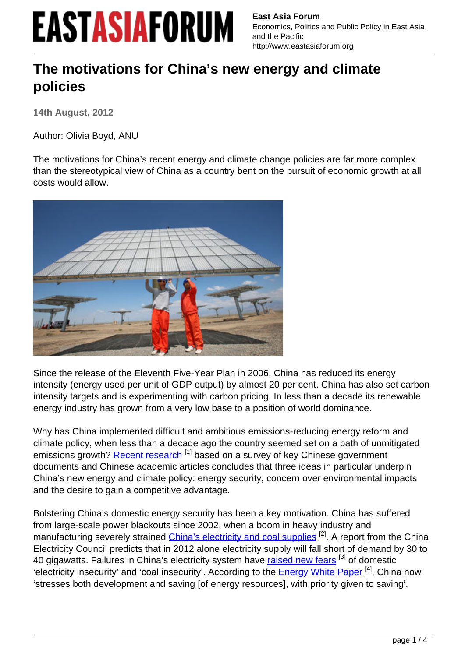**East Asia Forum** Economics, Politics and Public Policy in East Asia and the Pacific http://www.eastasiaforum.org

#### **The motivations for China's new energy and climate policies**

**14th August, 2012**

Author: Olivia Boyd, ANU

The motivations for China's recent energy and climate change policies are far more complex than the stereotypical view of China as a country bent on the pursuit of economic growth at all costs would allow.



Since the release of the Eleventh Five-Year Plan in 2006, China has reduced its energy intensity (energy used per unit of GDP output) by almost 20 per cent. China has also set carbon intensity targets and is experimenting with carbon pricing. In less than a decade its renewable energy industry has grown from a very low base to a position of world dominance.

Why has China implemented difficult and ambitious emissions-reducing energy reform and climate policy, when less than a decade ago the country seemed set on a path of unmitigated emissions growth? [Recent research](http://ideas.repec.org/p/een/ccepwp/1205.html)<sup>[1]</sup> based on a survey of key Chinese government documents and Chinese academic articles concludes that three ideas in particular underpin China's new energy and climate policy: energy security, concern over environmental impacts and the desire to gain a competitive advantage.

Bolstering China's domestic energy security has been a key motivation. China has suffered from large-scale power blackouts since 2002, when a boom in heavy industry and manufacturing severely strained [China's electricity and coal supplies](http://www.eastasiaforum.org/2011/12/05/securing-chinas-energy-supplies/) <sup>[2]</sup>. A report from the China Electricity Council predicts that in 2012 alone electricity supply will fall short of demand by 30 to 40 gigawatts. Failures in China's electricity system have [raised new fears](http://www.tandfonline.com/doi/abs/10.1080/00396330600594322) <sup>[3]</sup> of domestic 'electricity insecurity' and 'coal insecurity'. According to the [Energy White Paper](http://www.china.org.cn/english/environment/236955.htm) [4], China now 'stresses both development and saving [of energy resources], with priority given to saving'.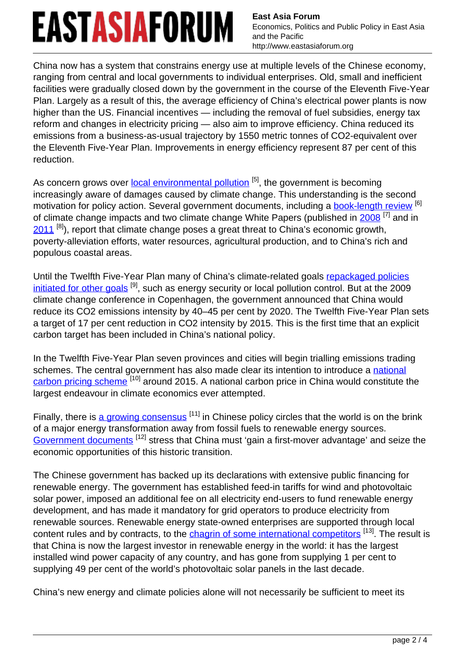**East Asia Forum** Economics, Politics and Public Policy in East Asia and the Pacific http://www.eastasiaforum.org

China now has a system that constrains energy use at multiple levels of the Chinese economy, ranging from central and local governments to individual enterprises. Old, small and inefficient facilities were gradually closed down by the government in the course of the Eleventh Five-Year Plan. Largely as a result of this, the average efficiency of China's electrical power plants is now higher than the US. Financial incentives — including the removal of fuel subsidies, energy tax reform and changes in electricity pricing — also aim to improve efficiency. China reduced its emissions from a business-as-usual trajectory by 1550 metric tonnes of CO2-equivalent over the Eleventh Five-Year Plan. Improvements in energy efficiency represent 87 per cent of this reduction.

As concern grows over <u>[local environmental pollution](http://www.gov.cn/english/2006-09/11/content_384596.htm)</u> [5], the government is becoming increasingly aware of damages caused by climate change. This understanding is the second motivation for policy action. Several government documents, including a [book-length review](http://www.cma.gov.cn/2011xwzx/2011xqxxw/2011xqxyw/201111/t20111115_153908.html) [6] of climate change impacts and two climate change White Papers (published in [2008](http://www.china.org.cn/government/news/2008-10/29/content_16681689.htm)<sup>[7]</sup> and in  $2011$   $^{[8]}$ ), report that climate change poses a great threat to China's economic growth, poverty-alleviation efforts, water resources, agricultural production, and to China's rich and populous coastal areas.

Until the Twelfth Five-Year Plan many of China's climate-related goals [repackaged policies](http://hup.sub.uni-hamburg.de/giga/jcca/article/viewFile/63/63) [initiated for other goals](http://hup.sub.uni-hamburg.de/giga/jcca/article/viewFile/63/63) [9], such as energy security or local pollution control. But at the 2009 climate change conference in Copenhagen, the government announced that China would reduce its CO2 emissions intensity by 40–45 per cent by 2020. The Twelfth Five-Year Plan sets a target of 17 per cent reduction in CO2 intensity by 2015. This is the first time that an explicit carbon target has been included in China's national policy.

In the Twelfth Five-Year Plan seven provinces and cities will begin trialling emissions trading schemes. The central government has also made clear its intention to introduce a [national](http://www.ccchina.gov.cn/cn/NewsInfo.asp?NewsId=23889) [carbon pricing scheme](http://www.ccchina.gov.cn/cn/NewsInfo.asp?NewsId=23889) [10] around 2015. A national carbon price in China would constitute the largest endeavour in climate economics ever attempted.

Finally, there is [a growing consensus](http://www.chinacleanenergydb.com/renewable-energy/strategic-plans)<sup>[11]</sup> in Chinese policy circles that the world is on the brink of a major energy transformation away from fossil fuels to renewable energy sources. [Government documents](http://www.ndrc.gov.cn/fzgh/ghwb/115zxgh/P020070930491947302047.pdf)<sup>[12]</sup> stress that China must 'gain a first-mover advantage' and seize the economic opportunities of this historic transition.

The Chinese government has backed up its declarations with extensive public financing for renewable energy. The government has established feed-in tariffs for wind and photovoltaic solar power, imposed an additional fee on all electricity end-users to fund renewable energy development, and has made it mandatory for grid operators to produce electricity from renewable sources. Renewable energy state-owned enterprises are supported through local content rules and by contracts, to the *[chagrin of some international competitors](http://www.ustr.gov/about-us/press-office/press-releases/2011/june/china-ends-wind-power-equipment-subsidies-challenged)*<sup>[13]</sup>. The result is that China is now the largest investor in renewable energy in the world: it has the largest installed wind power capacity of any country, and has gone from supplying 1 per cent to supplying 49 per cent of the world's photovoltaic solar panels in the last decade.

China's new energy and climate policies alone will not necessarily be sufficient to meet its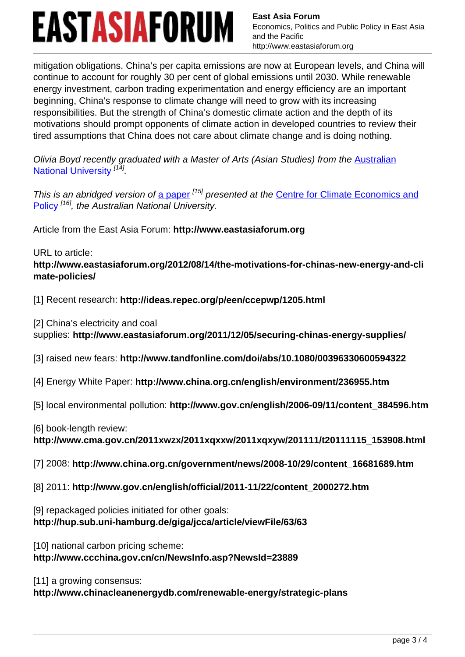**East Asia Forum** Economics, Politics and Public Policy in East Asia and the Pacific http://www.eastasiaforum.org

mitigation obligations. China's per capita emissions are now at European levels, and China will continue to account for roughly 30 per cent of global emissions until 2030. While renewable energy investment, carbon trading experimentation and energy efficiency are an important beginning, China's response to climate change will need to grow with its increasing responsibilities. But the strength of China's domestic climate action and the depth of its motivations should prompt opponents of climate action in developed countries to review their tired assumptions that China does not care about climate change and is doing nothing.

Olivia Boyd recently graduated with a Master of Arts (Asian Studies) from the [Australian](http://asiapacific.anu.edu.au/) [National University](http://asiapacific.anu.edu.au/)<sup>[14]</sup>.

This is an abridged version of [a paper](http://ideas.repec.org/p/een/ccepwp/1205.html) <sup>[15]</sup> presented at the [Centre for Climate Economics and](http://ccep.anu.edu.au/) [Policy](http://ccep.anu.edu.au/)<sup>[16]</sup>, the Australian National University.

Article from the East Asia Forum: **http://www.eastasiaforum.org**

URL to article: **http://www.eastasiaforum.org/2012/08/14/the-motivations-for-chinas-new-energy-and-cli mate-policies/**

[1] Recent research: **http://ideas.repec.org/p/een/ccepwp/1205.html**

[2] China's electricity and coal

supplies: **http://www.eastasiaforum.org/2011/12/05/securing-chinas-energy-supplies/**

[3] raised new fears: **http://www.tandfonline.com/doi/abs/10.1080/00396330600594322**

[4] Energy White Paper: **http://www.china.org.cn/english/environment/236955.htm**

[5] local environmental pollution: **http://www.gov.cn/english/2006-09/11/content\_384596.htm**

[6] book-length review:

**http://www.cma.gov.cn/2011xwzx/2011xqxxw/2011xqxyw/201111/t20111115\_153908.html**

[7] 2008: **http://www.china.org.cn/government/news/2008-10/29/content\_16681689.htm**

[8] 2011: **http://www.gov.cn/english/official/2011-11/22/content\_2000272.htm**

[9] repackaged policies initiated for other goals:

**http://hup.sub.uni-hamburg.de/giga/jcca/article/viewFile/63/63**

[10] national carbon pricing scheme:

**http://www.ccchina.gov.cn/cn/NewsInfo.asp?NewsId=23889**

[11] a growing consensus:

**http://www.chinacleanenergydb.com/renewable-energy/strategic-plans**